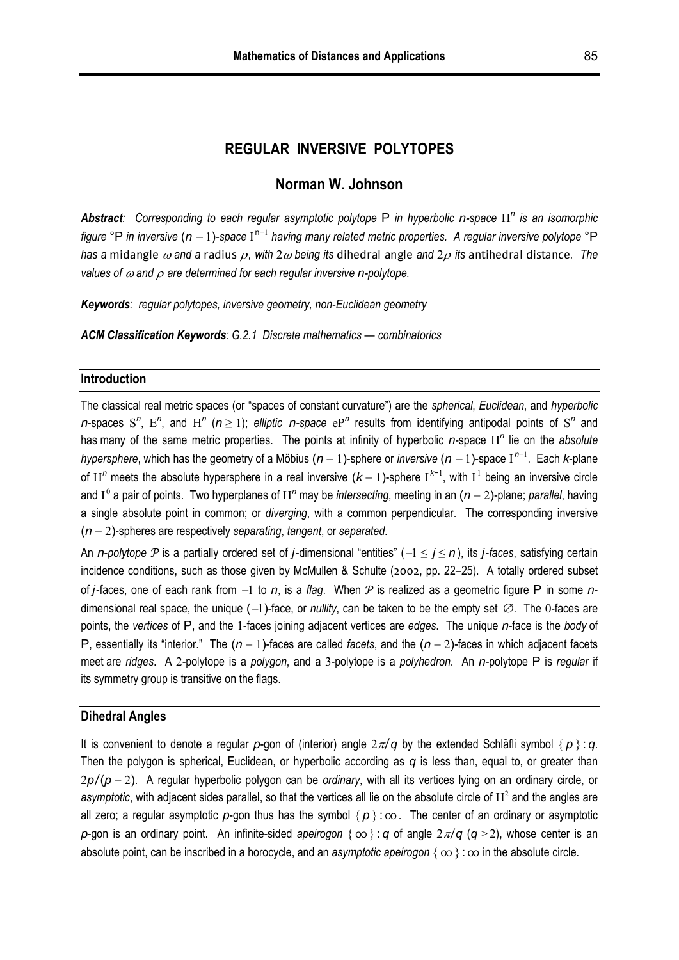## **REGULAR INVERSIVE POLYTOPES**

# **Norman W. Johnson**

*Abstract: Corresponding to each regular asymptotic polytope* P *in hyperbolic n-space* H*<sup>n</sup> is an isomorphic*  figure °P in inversive (n - 1)-space I<sup>n-1</sup> having many related metric properties. A regular inversive polytope °P *has a* midangle  $\omega$  and a radius  $\rho$ , with  $2\omega$  being its dihedral angle and  $2\rho$  its antihedral distance. The *values of*  $\omega$  *and*  $\rho$  *are determined for each regular inversive n-polytope.* 

*Keywords: regular polytopes, inversive geometry, non-Euclidean geometry* 

*ACM Classification Keywords: G.2.1 Discrete mathematics — combinatorics* 

#### **Introduction**

The classical real metric spaces (or "spaces of constant curvature") are the *spherical*, *Euclidean*, and *hyperbolic n*-spaces S<sup>n</sup>, E<sup>n</sup>, and H<sup>n</sup> ( $n \ge 1$ ); *elliptic n*-space  $e^{p^n}$  results from identifying antipodal points of S<sup>n</sup> and has many of the same metric properties. The points at infinity of hyperbolic *n*-space H*<sup>n</sup>* lie on the *absolute hypersphere*, which has the geometry of a Möbius (*n* − 1)-sphere or *inversive* (*n* − 1)-space I<sup>n−1</sup>. Each *k*-plane of H<sup>n</sup> meets the absolute hypersphere in a real inversive  $(k-1)$ -sphere I<sup>k−1</sup>, with I<sup>1</sup> being an inversive circle and I<sup>o</sup> a pair of points. Two hyperplanes of H<sup>n</sup> may be *intersecting*, meeting in an  $(n-2)$ -plane; *parallel*, having a single absolute point in common; or *diverging*, with a common perpendicular. The corresponding inversive (*n*2)-spheres are respectively *separating*, *tangent*, or *separated*.

An *n*-*polytope*  $\mathcal P$  is a partially ordered set of *j*-dimensional "entities" ( $-1 \le j \le n$ ), its *j*-*faces*, satisfying certain incidence conditions, such as those given by McMullen & Schulte (2002, pp. 22–25). A totally ordered subset of *j*-faces, one of each rank from  $-1$  to *n*, is a *flag*. When  $P$  is realized as a geometric figure P in some *n*dimensional real space, the unique  $(-1)$ -face, or *nullity*, can be taken to be the empty set  $\emptyset$ . The 0-faces are points, the *vertices* of P, and the 1-faces joining adjacent vertices are *edges*. The unique *n*-face is the *body* of P, essentially its "interior." The  $(n-1)$ -faces are called *facets*, and the  $(n-2)$ -faces in which adjacent facets meet are *ridges*. A 2-polytope is a *polygon*, and a 3-polytope is a *polyhedron*. An *n*-polytope P is *regular* if its symmetry group is transitive on the flags.

#### **Dihedral Angles**

It is convenient to denote a regular  $p$ -gon of (interior) angle  $2\pi/q$  by the extended Schläfli symbol  $\{p\}$ : *q*. Then the polygon is spherical, Euclidean, or hyperbolic according as *q* is less than, equal to, or greater than 2*p*/(*p*2). A regular hyperbolic polygon can be *ordinary*, with all its vertices lying on an ordinary circle, or asymptotic, with adjacent sides parallel, so that the vertices all lie on the absolute circle of  $H^2$  and the angles are all zero; a regular asymptotic p-gon thus has the symbol  $\{p\}:\infty$ . The center of an ordinary or asymptotic *p*-gon is an ordinary point. An infinite-sided *apeirogon*  $\{\infty\}$ : *q* of angle  $2\pi/q$  (*q* > 2), whose center is an absolute point, can be inscribed in a horocycle, and an *asymptotic apeirogon*  $\{ \infty \}$ :  $\infty$  in the absolute circle.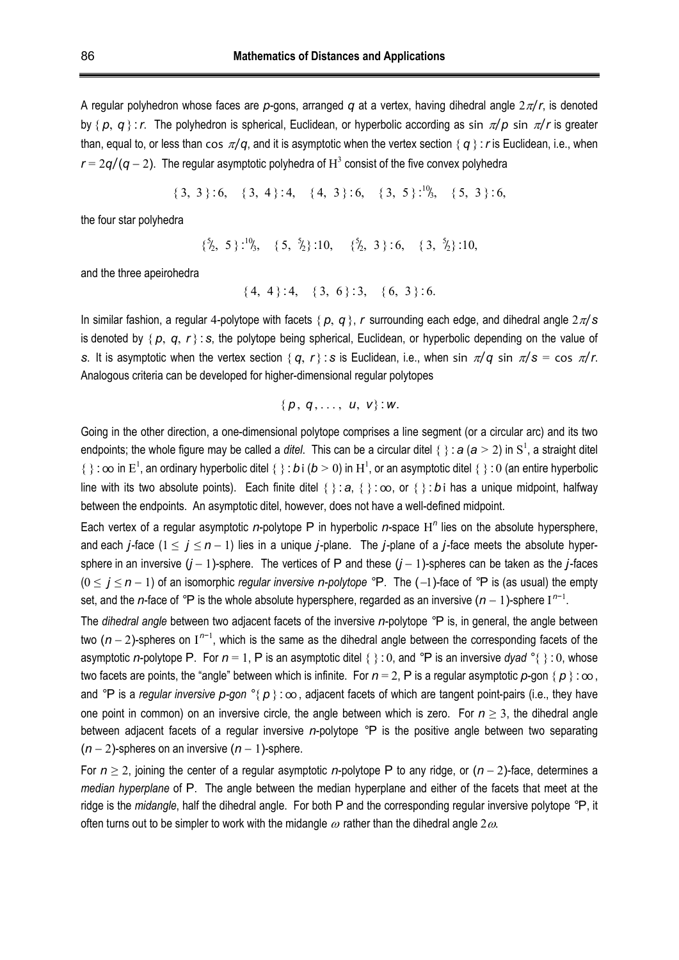A regular polyhedron whose faces are  $p$ -gons, arranged  $q$  at a vertex, having dihedral angle  $2\pi/r$ , is denoted by  $\{p, q\}$ : *r*. The polyhedron is spherical, Euclidean, or hyperbolic according as sin  $\pi/p$  sin  $\pi/r$  is greater than, equal to, or less than cos  $\pi/q$ , and it is asymptotic when the vertex section  $\{q\}$ : *r* is Euclidean, i.e., when  $r = 2q/(q-2)$ . The regular asymptotic polyhedra of  $H^3$  consist of the five convex polyhedra

$$
\{3, 3\} : 6, \{3, 4\} : 4, \{4, 3\} : 6, \{3, 5\} : 6', \{5, 3\} : 6,
$$

the four star polyhedra

 $\{5, 5\}$ :<sup>10</sup>/<sub>3</sub>,  $\{5, 5/2\}$ :10,  $\{5/2, 3\}$ :6,  $\{3, 5/2\}$ :10, ̸ l. l. ̸

and the three apeirohedra

 ${4, 4}:4, {3, 6}:3, {6, 3}:6.$ 

In similar fashion, a regular 4-polytope with facets  $\{p, q\}$ , *r* surrounding each edge, and dihedral angle  $2\pi/s$ is denoted by  $\{p, q, r\}$ : *s*, the polytope being spherical, Euclidean, or hyperbolic depending on the value of *s*. It is asymptotic when the vertex section {  $q$ ,  $r$  }: *s* is Euclidean, i.e., when sin  $\pi/q$  sin  $\pi/s = \cos \pi/r$ . Analogous criteria can be developed for higher-dimensional regular polytopes

$$
\{p, q, \ldots, u, v\} : w.
$$

Going in the other direction, a one-dimensional polytope comprises a line segment (or a circular arc) and its two endpoints; the whole figure may be called a *ditel*. This can be a circular ditel {  $\}$  :  $a$  ( $a > 2$ ) in S<sup>1</sup>, a straight ditel  $\{\}$  :  $\infty$  in  $E^1$ , an ordinary hyperbolic ditel  $\{\}$  : *b* i (*b* > 0) in H<sup>1</sup>, or an asymptotic ditel  $\{\}$  : 0 (an entire hyperbolic line with its two absolute points). Each finite ditel  $\{\} : a, \{\} : \infty$ , or  $\{\} : b$  i has a unique midpoint, halfway between the endpoints. An asymptotic ditel, however, does not have a well-defined midpoint.

Each vertex of a regular asymptotic *n*-polytope P in hyperbolic *n*-space H*<sup>n</sup>* lies on the absolute hypersphere, and each *j*-face  $(1 \le j \le n-1)$  lies in a unique *j*-plane. The *j*-plane of a *j*-face meets the absolute hypersphere in an inversive  $(j-1)$ -sphere. The vertices of P and these  $(j-1)$ -spheres can be taken as the *j*-faces  $(0 \le j \le n-1)$  of an isomorphic *regular inversive n-polytope*  $\degree$ P. The  $(-1)$ -face of  $\degree$ P is (as usual) the empty set, and the *n*-face of  $\degree$ P is the whole absolute hypersphere, regarded as an inversive (*n* - 1)-sphere I<sup>n-1</sup>.

The *dihedral angle* between two adjacent facets of the inversive *n*-polytope *°*P is, in general, the angle between two ( $n-2$ )-spheres on I<sup>n-1</sup>, which is the same as the dihedral angle between the corresponding facets of the asymptotic *n*-polytope P. For  $n = 1$ , P is an asymptotic ditel {  $\}$  : 0, and  ${}^{\circ}$ P is an inversive *dyad*  ${}^{\circ}$ {  $\}$  : 0, whose two facets are points, the "angle" between which is infinite. For  $n = 2$ , P is a regular asymptotic  $p$ -gon  $\{p\}$ :  $\infty$ , and <sup>°</sup>P is a *regular inversive p-gon* <sup>°</sup>{ *p* } :  $\infty$ , adjacent facets of which are tangent point-pairs (i.e., they have one point in common) on an inversive circle, the angle between which is zero. For  $n \geq 3$ , the dihedral angle between adjacent facets of a regular inversive *n*-polytope *°*P is the positive angle between two separating  $(n-2)$ -spheres on an inversive  $(n-1)$ -sphere.

For  $n \ge 2$ , joining the center of a regular asymptotic *n*-polytope P to any ridge, or  $(n-2)$ -face, determines a *median hyperplane* of P. The angle between the median hyperplane and either of the facets that meet at the ridge is the *midangle*, half the dihedral angle. For both P and the corresponding regular inversive polytope *°*P, it often turns out to be simpler to work with the midangle  $\omega$  rather than the dihedral angle 2 $\omega$ .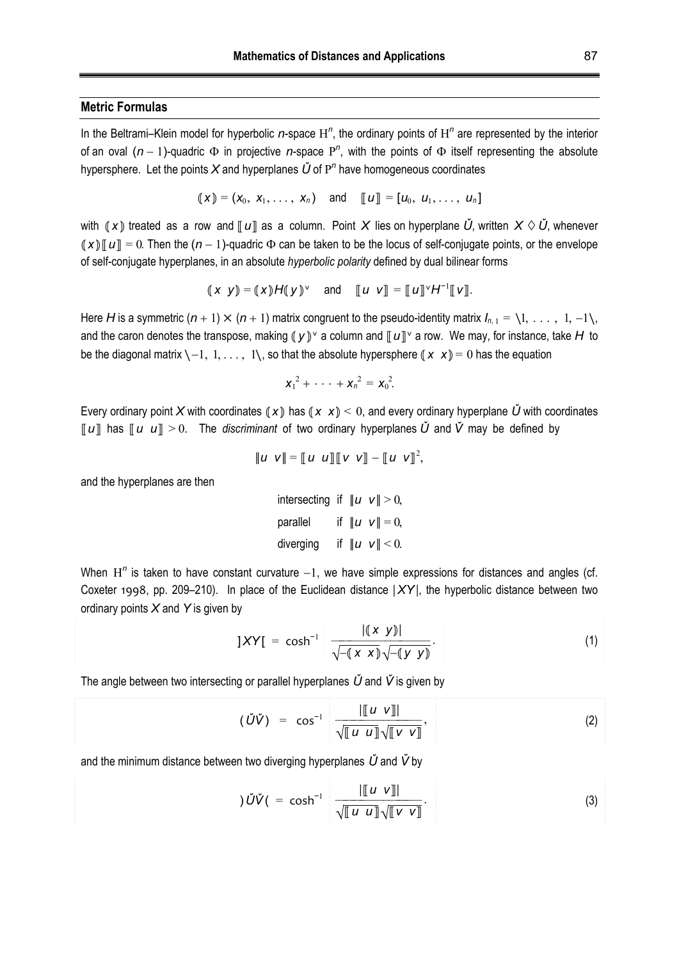## **Metric Formulas**

In the Beltrami–Klein model for hyperbolic *n*-space H<sup>n</sup>, the ordinary points of H<sup>n</sup> are represented by the interior of an oval  $(n-1)$ -quadric  $\Phi$  in projective *n*-space  $P^n$ , with the points of  $\Phi$  itself representing the absolute hypersphere. Let the points X and hyperplanes  $\check{U}$  of P<sup>n</sup> have homogeneous coordinates

$$
(\mathbf{x}) = (\mathbf{x}_0, \mathbf{x}_1, \ldots, \mathbf{x}_n) \quad \text{and} \quad [\![u]\!] = [\![u_0, u_1, \ldots, u_n]\!]
$$

with  $(X)$  treated as a row and  $[[u]]$  as a column. Point X lies on hyperplane  $\check{U}$ , written  $X \diamond \check{U}$ , whenever  $(X)\mathbb{I} u\mathbb{I} = 0$ . Then the  $(n-1)$ -quadric  $\Phi$  can be taken to be the locus of self-conjugate points, or the envelope of self-conjugate hyperplanes, in an absolute *hyperbolic polarity* defined by dual bilinear forms

$$
(x \ y) = (x)H(y)^{\vee}
$$
 and  $[[u \ v]] = [[u]]^{\vee}H^{-1}[[v]].$ 

Here *H* is a symmetric  $(n+1) \times (n+1)$  matrix congruent to the pseudo-identity matrix  $I_{n+1} = \{1, \ldots, 1, -1\}$ , and the caron denotes the transpose, making  $(y)$ <sup> $\vee$ </sup> a column and  $\llbracket u \rrbracket$ <sup> $\vee$ </sup> a row. We may, for instance, take H to be the diagonal matrix  $\{-1, 1, \ldots, 1\}$ , so that the absolute hypersphere  $(\bm{x} \ \bm{x}) = 0$  has the equation

$$
x_1^2 + \cdots + x_n^2 = x_0^2.
$$

Every ordinary point X with coordinates  $(X)$  has  $(X \times X) < 0$ , and every ordinary hyperplane  $\check{U}$  with coordinates  $\llbracket u \rrbracket$  has  $\llbracket u \llbracket u \rrbracket > 0$ . The *discriminant* of two ordinary hyperplanes  $\check{U}$  and  $\check{V}$  may be defined by

$$
\|u \, v\| = [u \, u] \|v \, v\| - [u \, v]^2,
$$

and the hyperplanes are then

intersecting if  $||u v|| > 0$ , parallel if  $||u v|| = 0$ , diverging if  $||u v|| < 0$ .

When  $H<sup>n</sup>$  is taken to have constant curvature  $-1$ , we have simple expressions for distances and angles (cf. Coxeter 1998, pp. 209–210). In place of the Euclidean distance |*XY*|, the hyperbolic distance between two ordinary points *X* and *Y* is given by

$$
]XY[ = \cosh^{-1} \frac{|(x \ y)|}{\sqrt{-(x \ x)}\sqrt{-(y \ y)}}. \tag{1}
$$

The angle between two intersecting or parallel hyperplanes *Ǔ* and *V̌* is given by

$$
(\check{U}\check{V}) = \cos^{-1} \frac{\Vert [u \quad v] \Vert}{\sqrt{\Vert u \quad u \Vert} \sqrt{\Vert v \quad v \Vert}}, \tag{2}
$$

and the minimum distance between two diverging hyperplanes *Ǔ* and *V̌* by

$$
\tilde{U}\tilde{V}(\ = \ \cosh^{-1} \ \frac{\|[\![u \ \nu]\!]}{\sqrt{\llbracket u \ \llbracket u \ \rrbracket} \sqrt{\llbracket v \ \nu \rrbracket}}. \tag{3}
$$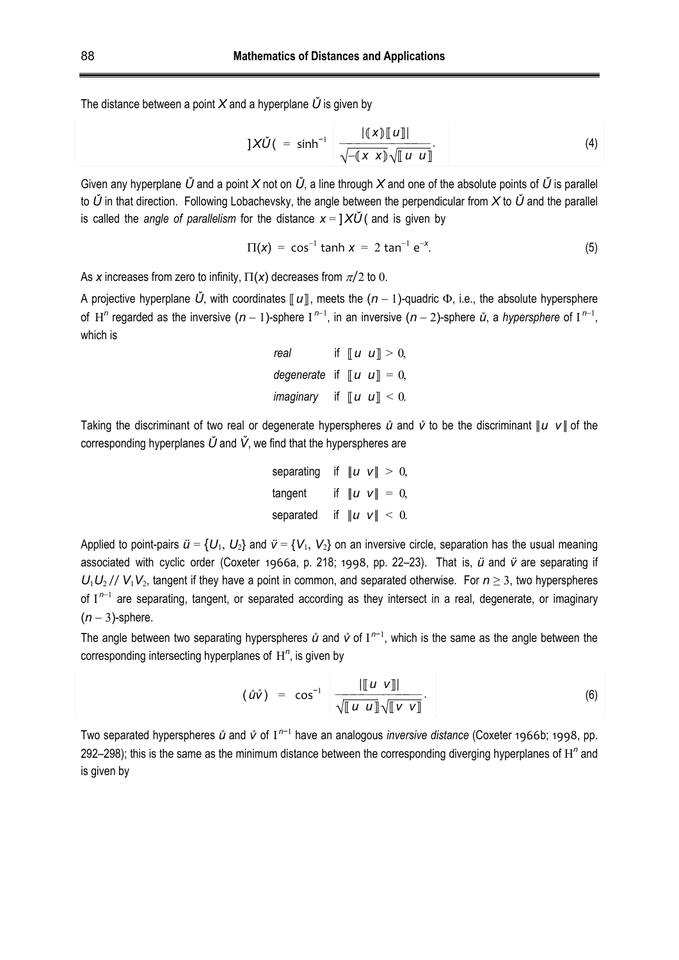The distance between a point  $X$  and a hyperplane  $\check{U}$  is given by

$$
]X\check{U} \quad = \quad \sinh^{-1} \quad \frac{|(x)\llbracket u \rrbracket|}{\sqrt{-(x \; x)} \sqrt{\llbracket u \; u \rrbracket}}. \tag{4}
$$

Given any hyperplane  $\check{U}$  and a point  $X$  not on  $\check{U}$ , a line through  $X$  and one of the absolute points of  $\check{U}$  is parallel to *Ǔ* in that direction. Following Lobachevsky, the angle between the perpendicular from *X* to *Ǔ* and the parallel is called the *angle of parallelism* for the distance  $x = \frac{1}{\lambda} \tilde{U}$  (and is given by

$$
\Pi(x) = \cos^{-1} \tanh x = 2 \tan^{-1} e^{-x}.
$$
 (5)

As x increases from zero to infinity,  $\Pi(x)$  decreases from  $\pi/2$  to 0.

A projective hyperplane  $\check{U}$ , with coordinates  $\llbracket u \rrbracket$ , meets the  $(n-1)$ -quadric  $\Phi$ , i.e., the absolute hypersphere of H<sup>n</sup> regarded as the inversive  $(n-1)$ -sphere I<sup>n-1</sup>, in an inversive  $(n-2)$ -sphere  $\mathring{u}$ , a *hypersphere* of I<sup>n-1</sup>, which is

```
real if \llbracket u \ \llbracket u \rrbracket > 0,
degenerate if \|\mathbf{u}\ \mathbf{u}\| = 0,
imaginary if \lll u\lll \ll 0.
```
Taking the discriminant of two real or degenerate hyperspheres *ů* and *v̊* to be the discriminant *||u v ||* of the corresponding hyperplanes *Ǔ* and *V̌*, we find that the hyperspheres are

separating if 
$$
||u \, v|| > 0
$$
,  
\ntangent if  $||u \, v|| = 0$ ,  
\nseparated if  $||u \, v|| < 0$ .

Applied to point-pairs  $\ddot{u} = \{U_1, U_2\}$  and  $\ddot{v} = \{V_1, V_2\}$  on an inversive circle, separation has the usual meaning associated with cyclic order (Coxeter 1966a, p. 218; 1998, pp. 22–23). That is, *ü* and *v̈* are separating if  $U_1U_2$  //  $V_1V_2$ , tangent if they have a point in common, and separated otherwise. For  $n \geq 3$ , two hyperspheres of  $I^{n-1}$  are separating, tangent, or separated according as they intersect in a real, degenerate, or imaginary  $(n-3)$ -sphere.

The angle between two separating hyperspheres  $\mathring{u}$  and  $\mathring{v}$  of I<sup>n-1</sup>, which is the same as the angle between the corresponding intersecting hyperplanes of H*<sup>n</sup>* , is given by

$$
(\mathring{u}\mathring{v}) = \cos^{-1} \frac{\| [u \; v] \|}{\sqrt{[u \; u]} \sqrt{[v \; v]}}.
$$
 (6)

Two separated hyperspheres *ů* and *v*<sup>of</sup> I<sup>n−1</sup> have an analogous *inversive distance* (Coxeter 1966b; 1998, pp. 292–298); this is the same as the minimum distance between the corresponding diverging hyperplanes of  $H<sup>n</sup>$  and is given by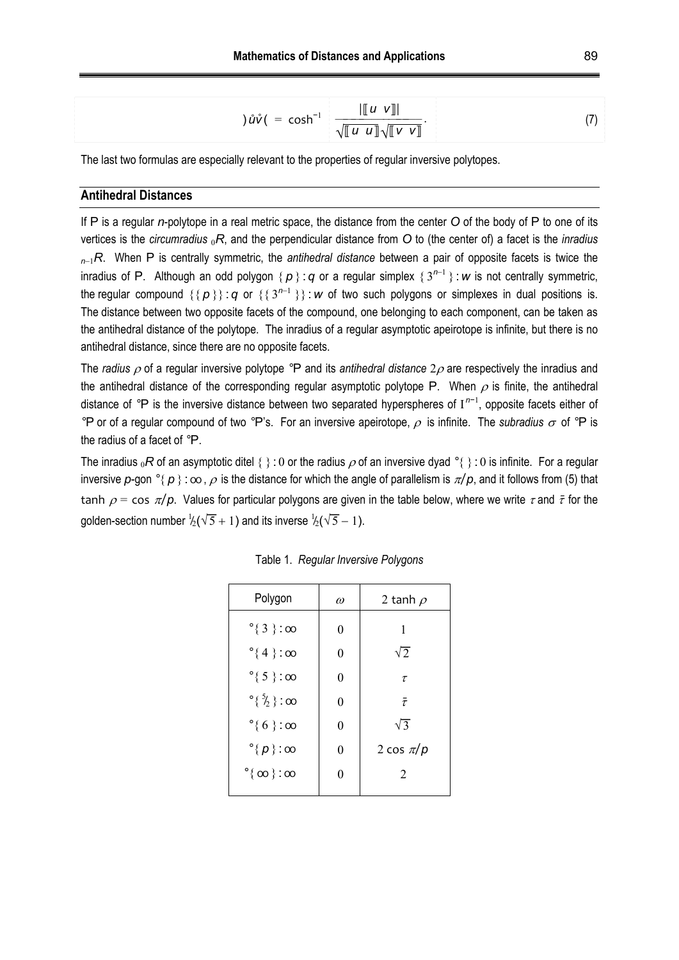$$
\hat{u}\hat{v}(\cdot = \cosh^{-1} \frac{\|\llbracket u \; v \rrbracket}{\sqrt{\llbracket u \; u \rrbracket} \sqrt{\llbracket v \; v \rrbracket}}. \tag{7}
$$

The last two formulas are especially relevant to the properties of regular inversive polytopes.

## **Antihedral Distances**

If P is a regular *n*-polytope in a real metric space, the distance from the center *O* of the body of P to one of its vertices is the *circumradius* <sup>0</sup>*R*, and the perpendicular distance from *O* to (the center of) a facet is the *inradius <sup>n</sup>*1*R*. When P is centrally symmetric, the *antihedral distance* between a pair of opposite facets is twice the inradius of P. Although an odd polygon  $\{p\}$ : *q* or a regular simplex  $\{3^{n-1}\}$ : *w* is not centrally symmetric, the regular compound  $\{\{p\}\}\$ : *q* or  $\{\{3^{n-1}\}\}\$ : *w* of two such polygons or simplexes in dual positions is. The distance between two opposite facets of the compound, one belonging to each component, can be taken as the antihedral distance of the polytope. The inradius of a regular asymptotic apeirotope is infinite, but there is no antihedral distance, since there are no opposite facets.

The *radius*  $\rho$  of a regular inversive polytope °P and its *antihedral distance*  $2\rho$  are respectively the inradius and the antihedral distance of the corresponding regular asymptotic polytope P. When  $\rho$  is finite, the antihedral distance of *°*P is the inversive distance between two separated hyperspheres of I *n*−1 , opposite facets either of <sup>°</sup>P or of a regular compound of two <sup>°</sup>P's. For an inversive apeirotope,  $\rho$  is infinite. The *subradius*  $\sigma$  of <sup>°</sup>P is the radius of a facet of *°*P.

The inradius <sub>0</sub>*R* of an asymptotic ditel { } : 0 or the radius  $\rho$  of an inversive dyad °{ } : 0 is infinite. For a regular inversive  $p$ -gon  $\degree$ {  $p$  } :  $\infty$ ,  $\rho$  is the distance for which the angle of parallelism is  $\pi/p$ , and it follows from (5) that tanh  $\rho = \cos \pi / p$ . Values for particular polygons are given in the table below, where we write  $\tau$  and  $\bar{\tau}$  for the golden-section number  $\frac{1}{2}(\sqrt{5}+1)$  and its inverse  $\frac{1}{2}(\sqrt{5}-1)$ . l.  $\frac{1}{2}$ 

| Polygon                           | $\omega$ | 2 tanh $\rho$ |
|-----------------------------------|----------|---------------|
| $^{\circ}$ { 3 } : $\infty$       | 0        | 1             |
| $^{\circ}$ {4}:00                 | 0        | $\sqrt{2}$    |
| $^{\circ}$ { 5 } : 00             | 0        | $\tau$        |
| °{ $\frac{5}{2}$ } : 00           | 0        | $\bar{\tau}$  |
| $^{\circ}$ { 6 } : $\infty$       | 0        | $\sqrt{3}$    |
| $^{\circ}$ { $p$ } : $\infty$     | 0        | 2 cos $\pi/p$ |
| $\degree$ { $\infty$ } : $\infty$ | 0        | 2             |
|                                   |          |               |

Table 1. *Regular Inversive Polygons*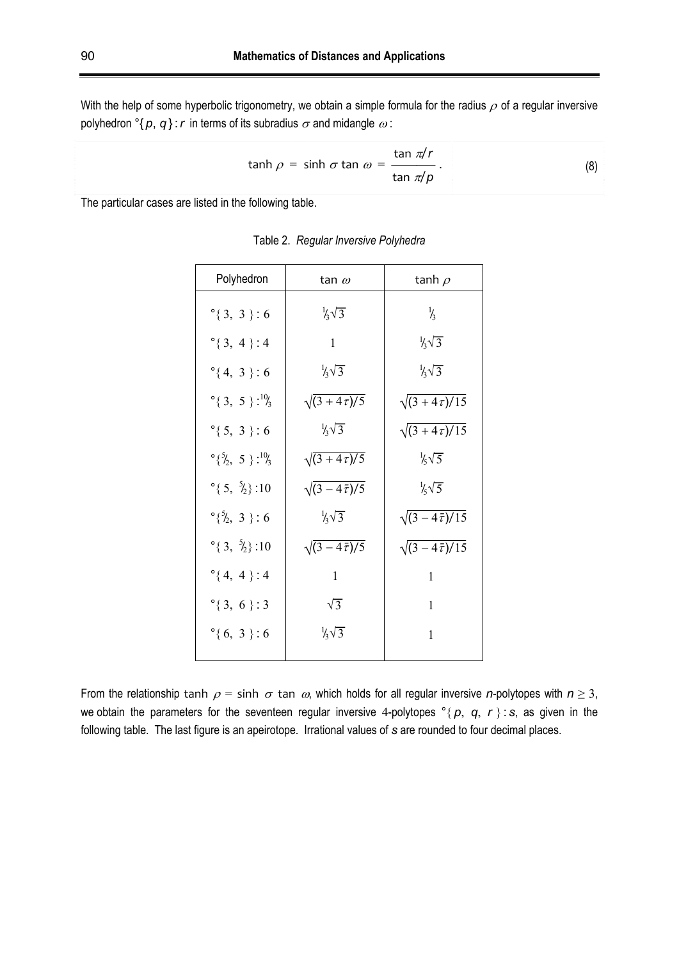With the help of some hyperbolic trigonometry, we obtain a simple formula for the radius  $\rho$  of a regular inversive polyhedron  ${}^{\circ}$ { $p, q$ }: *r* in terms of its subradius  $\sigma$  and midangle  $\omega$ :

$$
\tanh \rho = \sinh \sigma \tan \omega = \frac{\tan \pi/r}{\tan \pi/p} \,. \tag{8}
$$

The particular cases are listed in the following table.

| Polyhedron                                        | tan $\omega$               | tanh $\rho$                 |
|---------------------------------------------------|----------------------------|-----------------------------|
| $°{3, 3}$ : 6                                     | $\frac{1}{3}\sqrt{3}$      | $\frac{1}{3}$               |
| $°{3, 4}$ : 4                                     | $\mathbf{1}$               | $\frac{1}{3}\sqrt{3}$       |
| $^{\circ}$ {4, 3 }:6                              | $\frac{1}{3}\sqrt{3}$      | $\frac{1}{3}\sqrt{3}$       |
| $^{\circ}$ { 3, 5 }: <sup>10</sup> / <sub>3</sub> | $\sqrt{(3+4\tau)/5}$       | $\sqrt{(3+4\tau)/15}$       |
| $°{5, 3}$ : 6                                     | $\frac{1}{4}\sqrt{3}$      | $\sqrt{(3+4\tau)/15}$       |
| $\degree{\frac{5}{2}, 5}$ : $\frac{10}{3}$        | $\sqrt{(3+4\tau)/5}$       | $\frac{1}{5}\sqrt{5}$       |
| °{ $\{5, \frac{5}{2}\}$ :10                       | $\sqrt{(3-4\bar{\tau})/5}$ | $\frac{1}{6}\sqrt{5}$       |
| $^{\circ}$ { $^5$ / <sub>2</sub> , 3 } : 6        | $\frac{1}{3}\sqrt{3}$      | $\sqrt{(3-4\bar{\tau})/15}$ |
| °{ $\{3, \frac{5}{2}\}$ :10                       | $\sqrt{(3-4\bar{\tau})/5}$ | $\sqrt{(3-4\bar{\tau})}/15$ |
| $^{\circ}$ {4, 4 }:4                              | 1                          | 1                           |
| $°{3, 6}$ : 3                                     | $\sqrt{3}$                 | $\mathbf{1}$                |
| $^{\circ}$ {6, 3 }:6                              | $\frac{1}{4}\sqrt{3}$      | $\mathbf{1}$                |
|                                                   |                            |                             |

Table 2. *Regular Inversive Polyhedra* 

From the relationship tanh  $\rho = \sinh \sigma \tan \omega$ , which holds for all regular inversive *n*-polytopes with  $n \ge 3$ , we obtain the parameters for the seventeen regular inversive 4-polytopes  $\degree$ {  $p$ ,  $q$ ,  $r$  }: *s*, as given in the following table. The last figure is an apeirotope. Irrational values of *s* are rounded to four decimal places.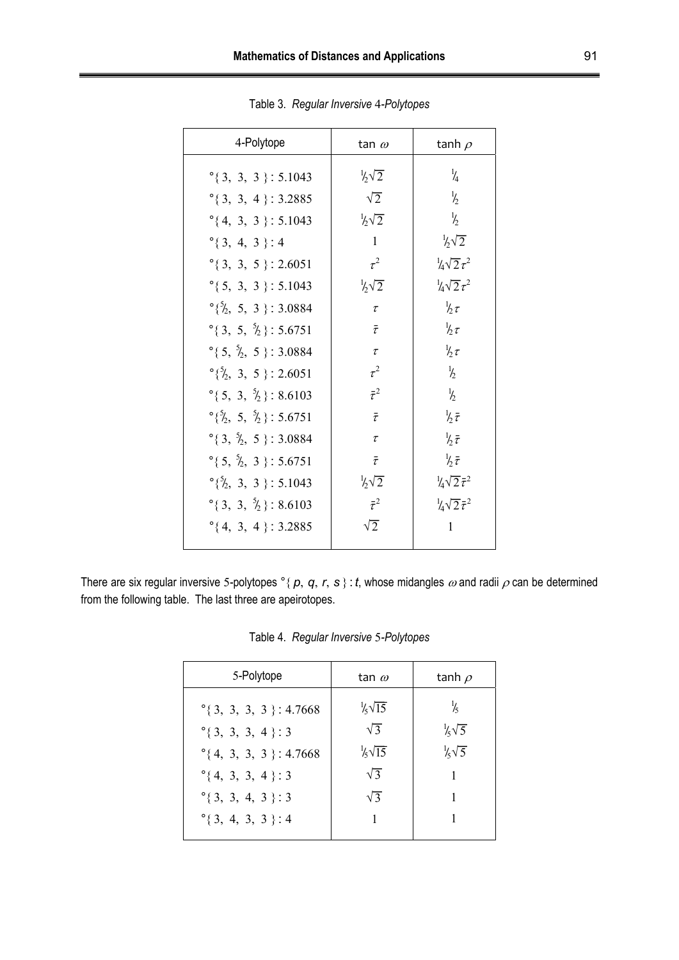| 4-Polytope                                               | tan $\omega$          | tanh $\rho$                       |
|----------------------------------------------------------|-----------------------|-----------------------------------|
| $^{\circ}$ {3, 3, 3}: 5.1043                             | $\frac{1}{2}\sqrt{2}$ | $\frac{1}{4}$                     |
| $^{\circ}$ {3, 3, 4}: 3.2885                             | $\sqrt{2}$            | $\frac{1}{2}$                     |
| $^{\circ}$ {4, 3, 3 }: 5.1043                            | $\frac{1}{2}\sqrt{2}$ | $\frac{1}{2}$                     |
| $^{\circ}$ {3, 4, 3}:4                                   | $\mathbf{1}$          | $\frac{1}{2}\sqrt{2}$             |
| $^{\circ}$ {3, 3, 5}: 2.6051                             | $\tau^2$              | $\frac{1}{4}\sqrt{2}\tau^2$       |
| $^{\circ}$ {5, 3, 3}: 5.1043                             | $\frac{1}{2}\sqrt{2}$ | $\frac{1}{4}\sqrt{2}\tau^2$       |
| $\binom{5}{2}$ , 5, 3 \: 3.0884                          | $\tau$                | $\frac{1}{2} \tau$                |
| $^{\circ}$ { 3, 5, $^{\circ}$ <sub>2</sub> } : 5.6751    | $\bar{\tau}$          | $\frac{1}{2} \tau$                |
| °{ $5, \frac{5}{2}, 5$ }: 3.0884                         | $\tau$                | $\frac{1}{2} \tau$                |
| $\degree{\frac{5}{2}, 3, 5}$ : 2.6051                    | $\tau^2$              | $\frac{1}{2}$                     |
| $\degree$ { 5, 3, $\frac{5}{2}$ }: 8.6103                | $\bar{\tau}^2$        | $\frac{1}{2}$                     |
| $\binom{5}{2}$ , 5, $\binom{5}{2}$ : 5.6751              | $\bar{\tau}$          | $\frac{1}{2}$                     |
| $^{\circ}$ { 3, $^{\circ}$ l <sub>2</sub> , 5 } : 3.0884 | $\tau$                | $\frac{1}{6}$                     |
| $^{\circ}$ { 5, $^5$ / <sub>2</sub> , 3 } : 5.6751       | $\bar{\tau}$          | $\frac{1}{2}$                     |
| $\degree{\frac{5}{2}, 3, 3}$ : 5.1043                    | $\frac{1}{2}\sqrt{2}$ | $\frac{1}{4}\sqrt{2}\bar{\tau}^2$ |
| $\degree$ { 3, 3, $\frac{5}{2}$ } : 8.6103               | $\bar{\tau}^2$        | $\frac{1}{4}\sqrt{2}\bar{\tau}^2$ |
| $^{\circ}$ {4, 3, 4 }: 3.2885                            | $\sqrt{2}$            | 1                                 |
|                                                          |                       |                                   |

Table 3. *Regular Inversive* 4*-Polytopes* 

There are six regular inversive 5-polytopes  $^{\circ}$ { $p, q, r, s$ }: *t*, whose midangles  $\omega$  and radii  $\rho$  can be determined from the following table. The last three are apeirotopes.

| Ӄ<br>$\frac{1}{6}\sqrt{15}$<br>$^{\circ}$ { 3, 3, 3, 3 } : 4.7668<br>$\frac{1}{5}\sqrt{5}$<br>$\sqrt{3}$<br>$^{\circ}$ { 3, 3, 3, 4 }: 3 | 5-Polytope                      | tan $\omega$           | tanh $\rho$           |
|------------------------------------------------------------------------------------------------------------------------------------------|---------------------------------|------------------------|-----------------------|
| $\sqrt{3}$<br>$^{\circ}$ {4, 3, 3, 4 }: 3<br>$\sqrt{3}$<br>$^{\circ}$ {3, 3, 4, 3 }: 3<br>1<br>$^{\circ}$ {3, 4, 3, 3 }:4                | $^{\circ}$ {4, 3, 3, 3}: 4.7668 | $\frac{1}{6}\sqrt{15}$ | $\frac{1}{5}\sqrt{5}$ |

Table 4. *Regular Inversive* 5*-Polytopes*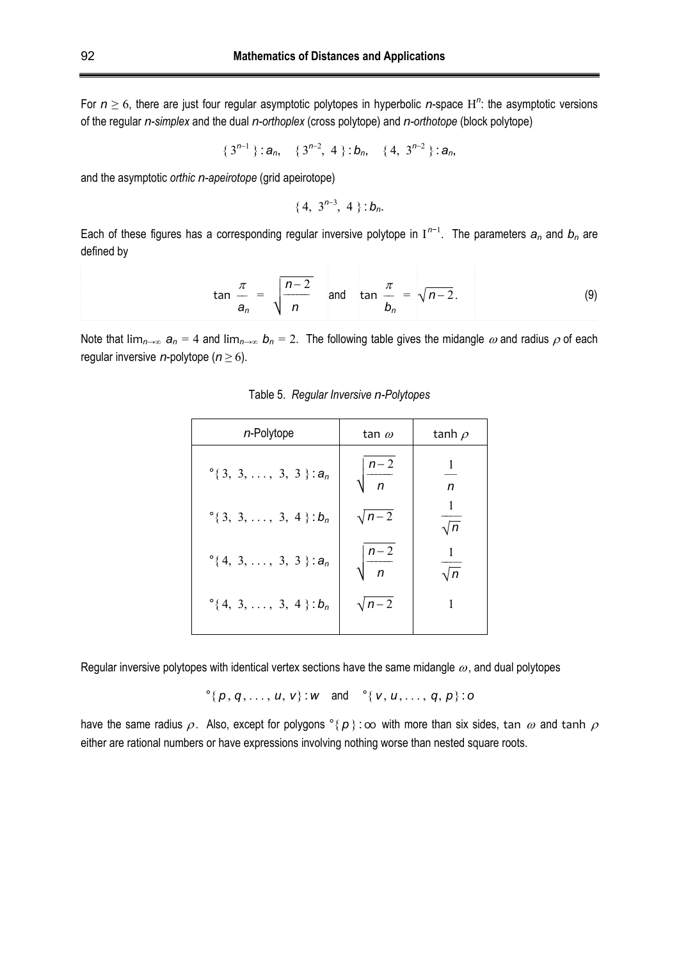For  $n \geq 6$ , there are just four regular asymptotic polytopes in hyperbolic *n*-space H<sup>n</sup>: the asymptotic versions of the regular *n-simplex* and the dual *n-orthoplex* (cross polytope) and *n-orthotope* (block polytope)

$$
\{3^{n-1}\}:\pmb{a}_n, \quad \{3^{n-2},\ 4\}:\pmb{b}_n, \quad \{4,\ 3^{n-2}\}:\pmb{a}_n,
$$

and the asymptotic *orthic n-apeirotope* (grid apeirotope)

$$
\{4, 3^{n-3}, 4\} : b_n.
$$

Each of these figures has a corresponding regular inversive polytope in I *n*−1 . The parameters *an* and *bn* are defined by

$$
\tan \frac{\pi}{a_n} = \sqrt{\frac{n-2}{n}} \quad \text{and} \quad \tan \frac{\pi}{b_n} = \sqrt{n-2}.
$$
 (9)

Note that  $\lim_{n\to\infty} a_n = 4$  and  $\lim_{n\to\infty} b_n = 2$ . The following table gives the midangle  $\omega$  and radius  $\rho$  of each regular inversive *n*-polytope ( $n \ge 6$ ).

| $n$ -Polytope                      | tan $\omega$            | tanh $\rho$     |
|------------------------------------|-------------------------|-----------------|
| $^{\circ}$ {3, 3, , 3, 3}: $a_n$   | $n-2$<br>$\overline{p}$ | 1<br>n          |
| $^{\circ}$ { 3, 3, , 3, 4 }: $b_n$ | $\sqrt{n-2}$            | 1<br>$\sqrt{n}$ |
| $^{\circ}$ {4, 3, , 3, 3 }: $a_n$  | $n-2$<br>$\bar{n}$      | 1<br>$\sqrt{n}$ |
| $^{\circ}$ {4, 3, , 3, 4 }: $b_n$  | $\sqrt{n-2}$            | 1               |

Table 5. *Regular Inversive n-Polytopes* 

Regular inversive polytopes with identical vertex sections have the same midangle  $\omega$ , and dual polytopes

 $\degree$ { *p*, *q*, ..., *u*, *v*}: *w* and  $\degree$ { *v*, *u*, ..., *q*, *p*}: *o* 

have the same radius  $\rho$ . Also, except for polygons  $\circ$ {  $p$ }: oo with more than six sides, tan  $\omega$  and tanh  $\rho$ either are rational numbers or have expressions involving nothing worse than nested square roots.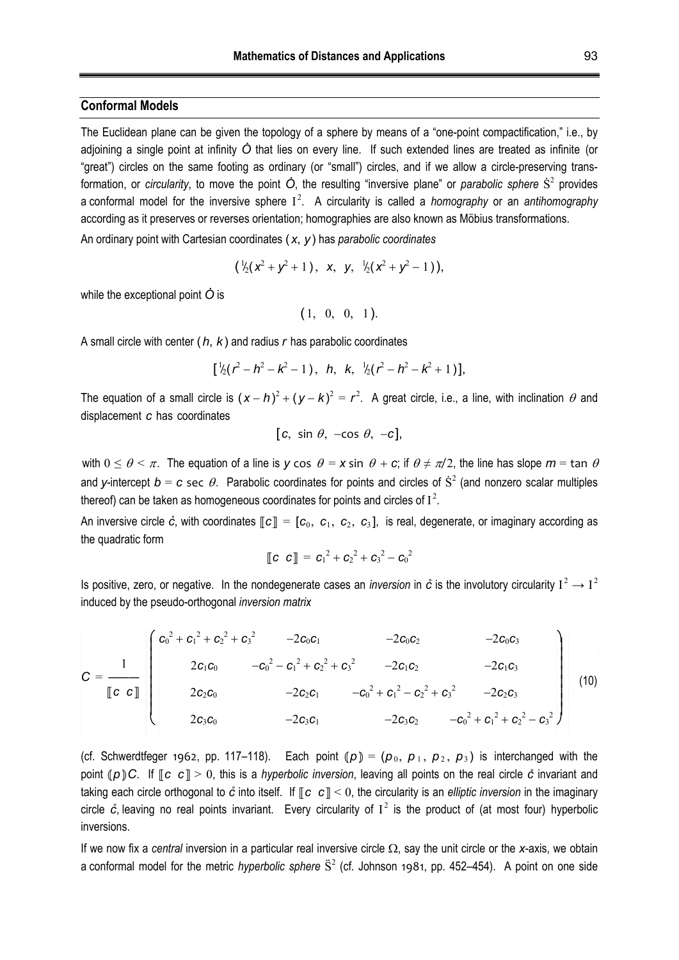## **Conformal Models**

The Euclidean plane can be given the topology of a sphere by means of a "one-point compactification," i.e., by adjoining a single point at infinity  $\dot{O}$  that lies on every line. If such extended lines are treated as infinite (or "great") circles on the same footing as ordinary (or "small") circles, and if we allow a circle-preserving transformation, or *circularity*, to move the point  $\dot{O}$ , the resulting "inversive plane" or *parabolic sphere*  $\dot{S}^2$  provides a conformal model for the inversive sphere I 2 . A circularity is called a *homography* or an *antihomography* according as it preserves or reverses orientation; homographies are also known as Möbius transformations.

An ordinary point with Cartesian coordinates (*x*, *y*) has *parabolic coordinates*

$$
(\frac{1}{2}(x^2+y^2+1), x, y, \frac{1}{2}(x^2+y^2-1)),
$$

while the exceptional point  $\dot{O}$  is

$$
(1, 0, 0, 1).
$$

A small circle with center (*h*, *k*) and radius *r* has parabolic coordinates

$$
\left[\frac{1}{2}(r^2-h^2-k^2-1), h, k, \frac{1}{2}(r^2-h^2-k^2+1)\right]
$$

The equation of a small circle is  $(x - h)^2 + (y - k)^2 = r^2$ . A great circle, i.e., a line, with inclination  $\theta$  and displacement *c* has coordinates

$$
[c, \sin \theta, -\cos \theta, -c],
$$

with  $0 \le \theta \le \pi$ . The equation of a line is *y* cos  $\theta = x$  sin  $\theta + c$ ; if  $\theta \ne \pi/2$ , the line has slope  $m = \tan \theta$ and *y*-intercept  $b = c$  sec  $\theta$ . Parabolic coordinates for points and circles of  $\dot{S}^2$  (and nonzero scalar multiples thereof) can be taken as homogeneous coordinates for points and circles of  $I^2$ .

An inversive circle  $\hat{c}$ , with coordinates  $\llbracket c \rrbracket = [c_0, c_1, c_2, c_3]$ , is real, degenerate, or imaginary according as the quadratic form

$$
[\![c \ c]\!] = c_1^2 + c_2^2 + c_3^2 - c_0^2
$$

Is positive, zero, or negative. In the nondegenerate cases an *inversion* in  $\phi$  is the involutory circularity  $I^2 \to I^2$ induced by the pseudo-orthogonal *inversion matrix*

$$
C = \frac{1}{\llbracket c \ c \rrbracket} \begin{pmatrix} c_0^2 + c_1^2 + c_2^2 + c_3^2 & -2c_0c_1 & -2c_0c_2 & -2c_0c_3 \\ 2c_1c_0 & -c_0^2 - c_1^2 + c_2^2 + c_3^2 & -2c_1c_2 & -2c_1c_3 \\ 2c_2c_0 & -2c_2c_1 & -c_0^2 + c_1^2 - c_2^2 + c_3^2 & -2c_2c_3 \\ 2c_3c_0 & -2c_3c_1 & -2c_3c_2 & -c_0^2 + c_1^2 + c_2^2 - c_3^2 \end{pmatrix}
$$
(10)

(cf. Schwerdtfeger 1962, pp. 117–118). Each point  $(p) = (p_0, p_1, p_2, p_3)$  is interchanged with the point ⦅*p*⦆*C*. If ⟦*c c* ⟧ > 0, this is a *hyperbolic inversion*, leaving all points on the real circle *c̊* invariant and taking each circle orthogonal to  $\dot{c}$  into itself. If  $\lceil c \, c \rceil \leq 0$ , the circularity is an *elliptic inversion* in the imaginary circle  $\dot{c}$ , leaving no real points invariant. Every circularity of  $I^2$  is the product of (at most four) hyperbolic inversions.

If we now fix a *central* inversion in a particular real inversive circle  $\Omega$ , say the unit circle or the *x*-axis, we obtain a conformal model for the metric *hyperbolic sphere*  $\ddot{S}^2$  (cf. Johnson 1981, pp. 452–454). A point on one side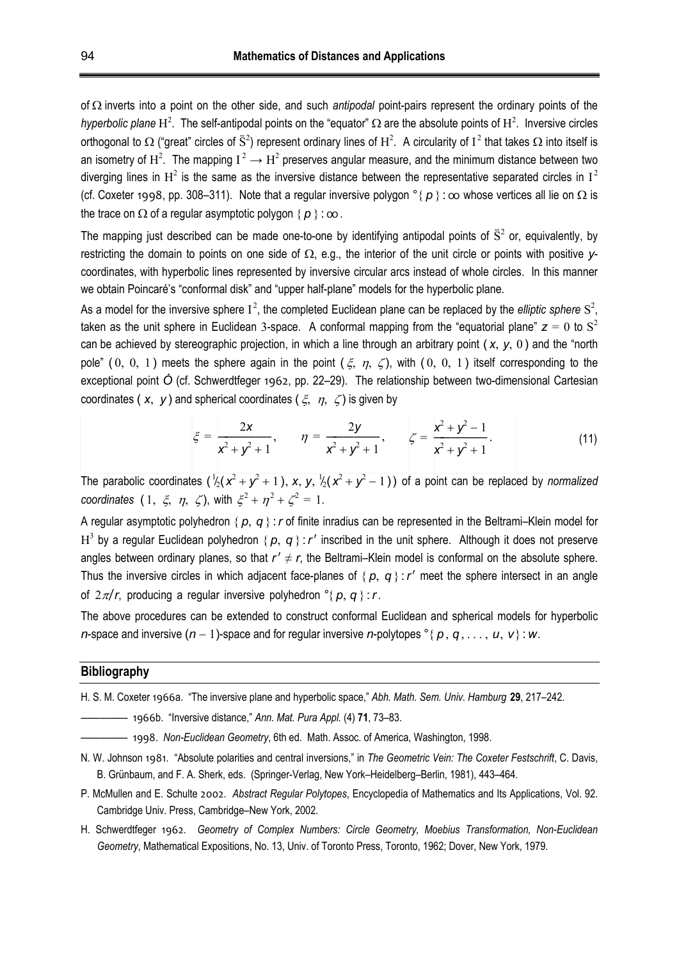of  $\Omega$  inverts into a point on the other side, and such *antipodal* point-pairs represent the ordinary points of the *hyperbolic plane*  $H^2$ . The self-antipodal points on the "equator"  $\Omega$  are the absolute points of  $H^2$ . Inversive circles orthogonal to  $\Omega$  ("great" circles of  $\rm \ddot{S}^2$ ) represent ordinary lines of  $\rm H^2$ . A circularity of  $\rm I^2$  that takes  $\Omega$  into itself is an isometry of  $H^2$ . The mapping  $I^2 \to H^2$  preserves angular measure, and the minimum distance between two diverging lines in  $H^2$  is the same as the inversive distance between the representative separated circles in  $I^2$ (cf. Coxeter 1998, pp. 308–311). Note that a regular inversive polygon  ${}^{\circ}$  ( $p$ ):  $\infty$  whose vertices all lie on  $\Omega$  is the trace on  $\Omega$  of a regular asymptotic polygon  $\{p\}$ : oo.

The mapping just described can be made one-to-one by identifying antipodal points of  $\ddot{S}^2$  or, equivalently, by restricting the domain to points on one side of  $\Omega$ , e.g., the interior of the unit circle or points with positive  $v$ coordinates, with hyperbolic lines represented by inversive circular arcs instead of whole circles. In this manner we obtain Poincaré's "conformal disk" and "upper half-plane" models for the hyperbolic plane.

As a model for the inversive sphere  $I^2$ , the completed Euclidean plane can be replaced by the *elliptic sphere*  $S^2$ , taken as the unit sphere in Euclidean 3-space. A conformal mapping from the "equatorial plane"  $z = 0$  to  $S^2$ can be achieved by stereographic projection, in which a line through an arbitrary point ( *x*, *y*, 0 ) and the "north pole" (0, 0, 1) meets the sphere again in the point  $(\xi, \eta, \zeta)$ , with (0, 0, 1) itself corresponding to the exceptional point  $\acute{o}$  (cf. Schwerdtfeger 1962, pp. 22–29). The relationship between two-dimensional Cartesian coordinates ( $x, y$ ) and spherical coordinates ( $\xi, \eta, \zeta$ ) is given by

$$
\xi = \frac{2x}{x^2 + y^2 + 1}, \qquad \eta = \frac{2y}{x^2 + y^2 + 1}, \qquad \zeta = \frac{x^2 + y^2 - 1}{x^2 + y^2 + 1}.
$$
 (11)

The parabolic coordinates  $(\frac{1}{2}(x^2 + y^2 + 1), x, y, \frac{1}{2}(x^2 + y^2 - 1))$  of a point can be replaced by *normalized* ̸ ̸ coordinates  $(1, \xi, \eta, \zeta)$ , with  $\xi^2 + \eta^2 + \zeta^2 = 1$ .

A regular asymptotic polyhedron  $\{p, q\}$ : *r* of finite inradius can be represented in the Beltrami–Klein model for  $H^3$  by a regular Euclidean polyhedron {  $p$ ,  $q$  } : r' inscribed in the unit sphere. Although it does not preserve angles between ordinary planes, so that  $r' \neq r$ , the Beltrami–Klein model is conformal on the absolute sphere. Thus the inversive circles in which adjacent face-planes of  $\{p, q\}$ : *r'* meet the sphere intersect in an angle of  $2\pi/r$ , producing a regular inversive polyhedron  $\degree$ *{*  $p$ , *q }*: *r*.

The above procedures can be extended to construct conformal Euclidean and spherical models for hyperbolic *n*-space and inversive  $(n-1)$ -space and for regular inversive *n*-polytopes  $\degree\{p, q, \ldots, u, v\}$ : *w*.

#### **Bibliography**

H. S. M. Coxeter 1966a. "The inversive plane and hyperbolic space," *Abh. Math. Sem. Univ. Hamburg* **29**, 217–242.

————— 1966b. "Inversive distance," *Ann. Mat. Pura Appl.* (4) **71**, 73–83.

————— 1998. *Non-Euclidean Geometry*, 6th ed. Math. Assoc. of America, Washington, 1998.

- N. W. Johnson 1981. "Absolute polarities and central inversions," in *The Geometric Vein: The Coxeter Festschrift*, C. Davis, B. Grünbaum, and F. A. Sherk, eds. (Springer-Verlag, New York–Heidelberg–Berlin, 1981), 443–464.
- P. McMullen and E. Schulte 2002. *Abstract Regular Polytopes*, Encyclopedia of Mathematics and Its Applications, Vol. 92. Cambridge Univ. Press, Cambridge–New York, 2002.
- H. Schwerdtfeger 1962. *Geometry of Complex Numbers: Circle Geometry, Moebius Transformation, Non-Euclidean Geometry*, Mathematical Expositions, No. 13, Univ. of Toronto Press, Toronto, 1962; Dover, New York, 1979.